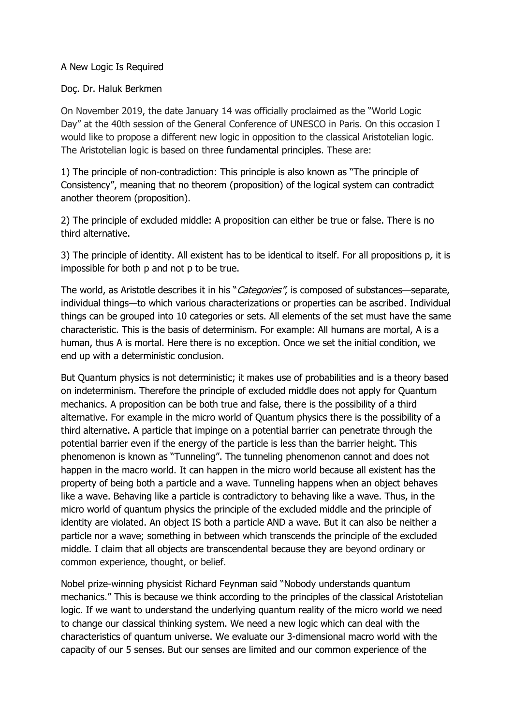## A New Logic Is Required

## Doç. Dr. Haluk Berkmen

On November 2019, the date January 14 was officially proclaimed as the "World Logic Day" at the 40th session of the General Conference of UNESCO in Paris. On this occasion I would like to propose a different new logic in opposition to the classical Aristotelian logic. The Aristotelian logic is based on three fundamental principles. These are:

1) The principle of non-contradiction: This principle is also known as "The principle of [Consistency](https://www.wikizeroo.org/index.php?q=aHR0cHM6Ly9lbi53aWtpcGVkaWEub3JnL3dpa2kvQ29uc2lzdGVuY3lfcHJvb2Y)", meaning that no theorem (proposition) of the logical system can contradict another theorem (proposition).

2) The [principle of excluded middle:](https://www.britannica.com/topic/law-of-excluded-middle) A proposition can either be true or false. There is no third alternative.

3) The principle of identity. All existent has to be identical to itself. For all propositions p, it is impossible for both p and not p to be true.

The world, as Aristotle describes it in his "*Categories"*, is composed of substances—separate, individual things—to which various characterizations or properties can be ascribed. Individual things can be grouped into 10 categories or sets. All elements of the set must have the same characteristic. This is the basis of determinism. For example: All humans are mortal, A is a human, thus A is mortal. Here there is no exception. Once we set the initial condition, we end up with a deterministic conclusion.

But Quantum physics is not deterministic; it makes use of probabilities and is a theory based on indeterminism. Therefore the principle of excluded middle does not apply for Quantum mechanics. A proposition can be both true and false, there is the possibility of a third alternative. For example in the micro world of Quantum physics there is the possibility of a third alternative. A particle that impinge on a potential barrier can penetrate through the potential barrier even if the energy of the particle is less than the barrier height. This phenomenon is known as "Tunneling". The tunneling phenomenon cannot and does not happen in the macro world. It can happen in the micro world because all existent has the property of being both a particle and a wave. Tunneling happens when an object behaves like a wave. Behaving like a particle is contradictory to behaving like a wave. Thus, in the micro world of quantum physics the principle of the excluded middle and the principle of identity are violated. An object IS both a particle AND a wave. But it can also be neither a particle nor a wave; something in between which transcends the principle of the excluded middle. I claim that all objects are transcendental because they are beyond ordinary or common experience, thought, or belief.

Nobel prize-winning physicist Richard Feynman said "Nobody understands quantum mechanics." This is because we think according to the principles of the classical Aristotelian logic. If we want to understand the underlying quantum reality of the micro world we need to change our classical thinking system. We need a new logic which can deal with the characteristics of quantum universe. We evaluate our 3-dimensional macro world with the capacity of our 5 senses. But our senses are limited and our common experience of the